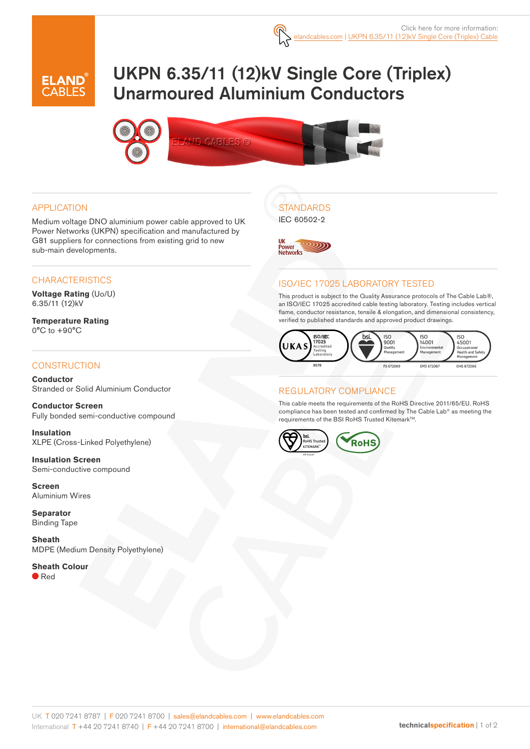

# UKPN 6.35/11 (12)kV Single Core (Triplex) Unarmoured Aluminium Conductors



#### APPLICATION

Medium voltage DNO aluminium power cable approved to UK Power Networks (UKPN) specification and manufactured by G81 suppliers for connections from existing grid to new sub-main developments.

#### **CHARACTERISTICS**

**Voltage Rating** (Uo/U) 6.35/11 (12)kV

**Temperature Rating** 0°C to +90°C

#### **CONSTRUCTION**

**Conductor** Stranded or Solid Aluminium Conductor

**Conductor Screen** Fully bonded semi-conductive compound

**Insulation** XLPE (Cross-Linked Polyethylene)

**Insulation Screen** Semi-conductive compound

**Screen** Aluminium Wires

**Separator** Binding Tape

**Sheath** MDPE (Medium Density Polyethylene)

**Sheath Colour** ● Red

## **STANDARDS**

IEC 60502-2



#### ISO/IEC 17025 LABORATORY TESTED

This product is subject to the Quality Assurance protocols of The Cable Lab®, an ISO/IEC 17025 accredited cable testing laboratory. Testing includes vertical flame, conductor resistance, tensile & elongation, and dimensional consistency, verified to published standards and approved product drawings.



#### REGULATORY COMPLIANCE

This cable meets the requirements of the RoHS Directive 2011/65/EU. RoHS compliance has been tested and confirmed by The Cable Lab® as meeting the requirements of the BSI RoHS Trusted Kitemark™.